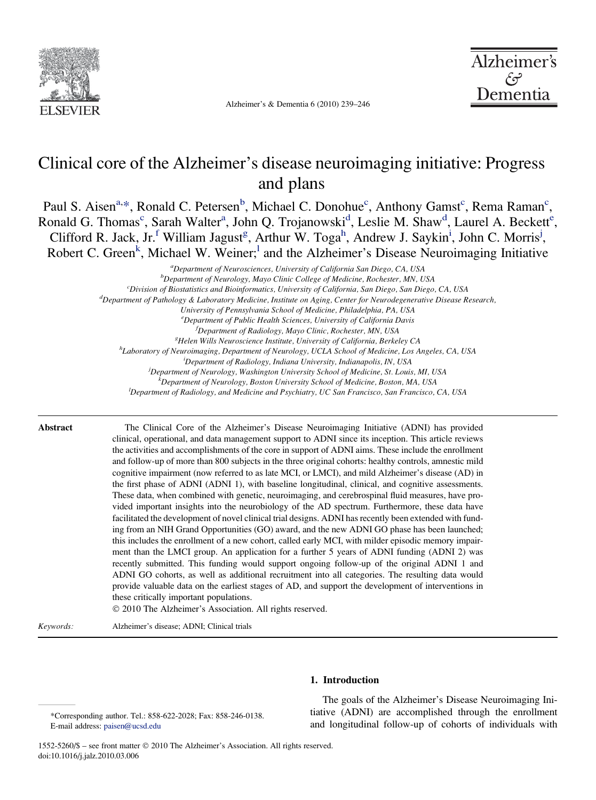

Alzheimer's & Dementia 6 (2010) 239–246



# Clinical core of the Alzheimer's disease neuroimaging initiative: Progress and plans

Paul S. Aisen<sup>[a,](#page-0-0)\*</sup>, Ronald C. Petersen<sup>[b](#page-0-0)</sup>, Mi[c](#page-0-0)hael C. Donohue<sup>c</sup>, Anthony Gamst<sup>c</sup>, Rema Raman<sup>c</sup>, Ron[a](#page-0-0)l[d](#page-0-0) G. Thomas<sup>c</sup>, Sarah Walt[e](#page-0-0)r<sup>a</sup>, John Q. Trojanowski<sup>d</sup>, Leslie M. Shaw<sup>d</sup>, Laurel A. Beckett<sup>e</sup>, Cli[f](#page-0-0)ford R. Jack, Jr.<sup>f</sup> William Ja[g](#page-0-0)ust<sup>g</sup>, Art[h](#page-0-0)ur W. Toga<sup>h</sup>, Andrew J. Sayk[i](#page-0-0)n<sup>i</sup>, John C. Morris<sup>[j](#page-0-0)</sup>, Robert C. Green<sup>[k](#page-0-0)</sup>, Michae[l](#page-0-0) W. Weiner;<sup>1</sup> and the Alzheimer's Disease Neuroimaging Initiative

> <sup>a</sup> Department of Neurosciences, University of California San Diego, CA, USA<br><sup>b</sup> Department of Neuroleay, Mayo Clinic College of Medicine, Bochester, MN, U  $^{b}$ Department of Neurology, Mayo Clinic College of Medicine, Rochester, MN, USA  $^c$ Division of Biostatistics and Bioinformatics, University of California, San Diego, San Diego, CA, USA  $^d$ Department of Pathology & Laboratory Medicine, Institute on Aging, Center for Neurodegenerative Disease Research, University of Pennsylvania School of Medicine, Philadelphia, PA, USA e Department of Public Health Sciences, University of California Davis f Department of Radiology, Mayo Clinic, Rochester, MN, USA<br><sup>8</sup>Helen Wills Neurosciance Institute, University of California, Barka  ${}^{8}$ Helen Wills Neuroscience Institute, University of California, Berkeley CA <sup>h</sup>Laboratory of Neuroimaging, Department of Neurology, UCLA School of Medicine, Los Angeles, CA, USA Department of Radiology, Indiana University, Indianapolis, IN, USA Department of Neurology, Washington University School of Medicine, St. Louis, MI, USA  $k$ Department of Neurology, Boston University School of Medicine, Boston, MA, USA  $D^2D$ epartment of Radiology, and Medicine and Psychiatry, UC San Francisco, San Francisco, CA, USA

Abstract The Clinical Core of the Alzheimer's Disease Neuroimaging Initiative (ADNI) has provided clinical, operational, and data management support to ADNI since its inception. This article reviews the activities and accomplishments of the core in support of ADNI aims. These include the enrollment and follow-up of more than 800 subjects in the three original cohorts: healthy controls, amnestic mild cognitive impairment (now referred to as late MCI, or LMCI), and mild Alzheimer's disease (AD) in the first phase of ADNI (ADNI 1), with baseline longitudinal, clinical, and cognitive assessments. These data, when combined with genetic, neuroimaging, and cerebrospinal fluid measures, have provided important insights into the neurobiology of the AD spectrum. Furthermore, these data have facilitated the development of novel clinical trial designs. ADNI has recently been extended with funding from an NIH Grand Opportunities (GO) award, and the new ADNI GO phase has been launched; this includes the enrollment of a new cohort, called early MCI, with milder episodic memory impairment than the LMCI group. An application for a further 5 years of ADNI funding (ADNI 2) was recently submitted. This funding would support ongoing follow-up of the original ADNI 1 and ADNI GO cohorts, as well as additional recruitment into all categories. The resulting data would provide valuable data on the earliest stages of AD, and support the development of interventions in these critically important populations.

! 2010 The Alzheimer's Association. All rights reserved.

Keywords: Alzheimer's disease; ADNI; Clinical trials

1. Introduction

<span id="page-0-0"></span>\*Corresponding author. Tel.: 858-622-2028; Fax: 858-246-0138. E-mail address: [paisen@ucsd.edu](mailto:paisen@ucsd.edu)

The goals of the Alzheimer's Disease Neuroimaging Initiative (ADNI) are accomplished through the enrollment and longitudinal follow-up of cohorts of individuals with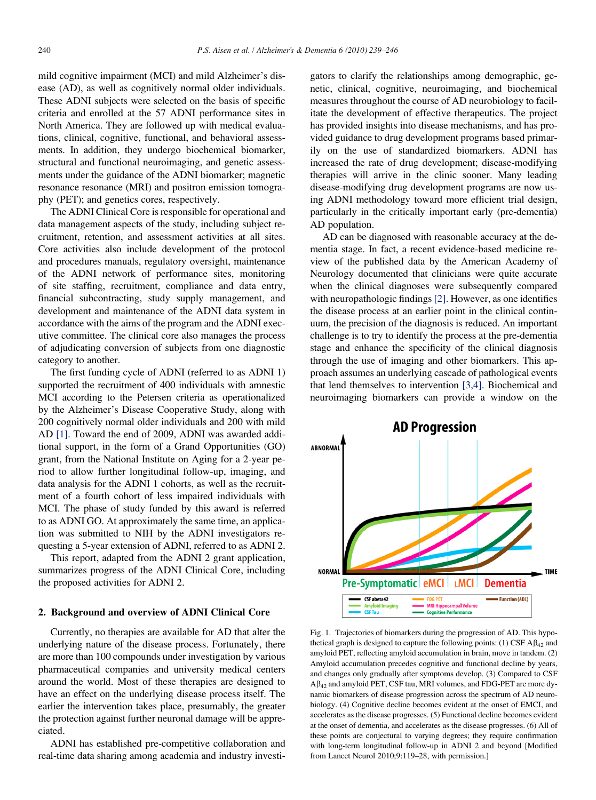mild cognitive impairment (MCI) and mild Alzheimer's disease (AD), as well as cognitively normal older individuals. These ADNI subjects were selected on the basis of specific criteria and enrolled at the 57 ADNI performance sites in North America. They are followed up with medical evaluations, clinical, cognitive, functional, and behavioral assessments. In addition, they undergo biochemical biomarker, structural and functional neuroimaging, and genetic assessments under the guidance of the ADNI biomarker; magnetic resonance resonance (MRI) and positron emission tomography (PET); and genetics cores, respectively.

The ADNI Clinical Core is responsible for operational and data management aspects of the study, including subject recruitment, retention, and assessment activities at all sites. Core activities also include development of the protocol and procedures manuals, regulatory oversight, maintenance of the ADNI network of performance sites, monitoring of site staffing, recruitment, compliance and data entry, financial subcontracting, study supply management, and development and maintenance of the ADNI data system in accordance with the aims of the program and the ADNI executive committee. The clinical core also manages the process of adjudicating conversion of subjects from one diagnostic category to another.

The first funding cycle of ADNI (referred to as ADNI 1) supported the recruitment of 400 individuals with amnestic MCI according to the Petersen criteria as operationalized by the Alzheimer's Disease Cooperative Study, along with 200 cognitively normal older individuals and 200 with mild AD [\[1\].](#page-7-0) Toward the end of 2009, ADNI was awarded additional support, in the form of a Grand Opportunities (GO) grant, from the National Institute on Aging for a 2-year period to allow further longitudinal follow-up, imaging, and data analysis for the ADNI 1 cohorts, as well as the recruitment of a fourth cohort of less impaired individuals with MCI. The phase of study funded by this award is referred to as ADNI GO. At approximately the same time, an application was submitted to NIH by the ADNI investigators requesting a 5-year extension of ADNI, referred to as ADNI 2.

This report, adapted from the ADNI 2 grant application, summarizes progress of the ADNI Clinical Core, including the proposed activities for ADNI 2.

#### 2. Background and overview of ADNI Clinical Core

Currently, no therapies are available for AD that alter the underlying nature of the disease process. Fortunately, there are more than 100 compounds under investigation by various pharmaceutical companies and university medical centers around the world. Most of these therapies are designed to have an effect on the underlying disease process itself. The earlier the intervention takes place, presumably, the greater the protection against further neuronal damage will be appreciated.

<span id="page-1-0"></span>ADNI has established pre-competitive collaboration and real-time data sharing among academia and industry investigators to clarify the relationships among demographic, genetic, clinical, cognitive, neuroimaging, and biochemical measures throughout the course of AD neurobiology to facilitate the development of effective therapeutics. The project has provided insights into disease mechanisms, and has provided guidance to drug development programs based primarily on the use of standardized biomarkers. ADNI has increased the rate of drug development; disease-modifying therapies will arrive in the clinic sooner. Many leading disease-modifying drug development programs are now using ADNI methodology toward more efficient trial design, particularly in the critically important early (pre-dementia) AD population.

AD can be diagnosed with reasonable accuracy at the dementia stage. In fact, a recent evidence-based medicine review of the published data by the American Academy of Neurology documented that clinicians were quite accurate when the clinical diagnoses were subsequently compared with neuropathologic findings [\[2\]](#page-7-0). However, as one identifies the disease process at an earlier point in the clinical continuum, the precision of the diagnosis is reduced. An important challenge is to try to identify the process at the pre-dementia stage and enhance the specificity of the clinical diagnosis through the use of imaging and other biomarkers. This approach assumes an underlying cascade of pathological events that lend themselves to intervention [\[3,4\].](#page-7-0) Biochemical and neuroimaging biomarkers can provide a window on the



Fig. 1. Trajectories of biomarkers during the progression of AD. This hypothetical graph is designed to capture the following points: (1) CSF  $A\beta_{42}$  and amyloid PET, reflecting amyloid accumulation in brain, move in tandem. (2) Amyloid accumulation precedes cognitive and functional decline by years, and changes only gradually after symptoms develop. (3) Compared to CSF  $A\beta_{42}$  and amyloid PET, CSF tau, MRI volumes, and FDG-PET are more dynamic biomarkers of disease progression across the spectrum of AD neurobiology. (4) Cognitive decline becomes evident at the onset of EMCI, and accelerates as the disease progresses. (5) Functional decline becomes evident at the onset of dementia, and accelerates as the disease progresses. (6) All of these points are conjectural to varying degrees; they require confirmation with long-term longitudinal follow-up in ADNI 2 and beyond [Modified from Lancet Neurol 2010;9:119–28, with permission.]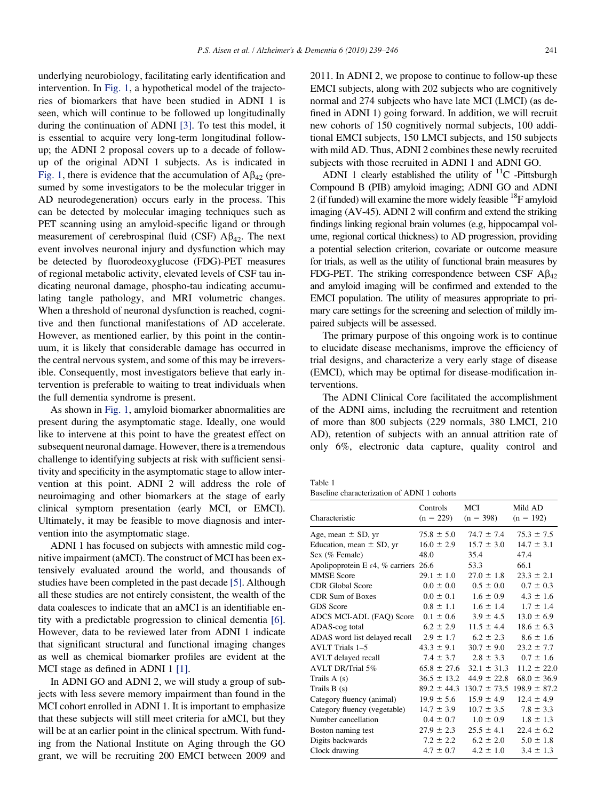underlying neurobiology, facilitating early identification and intervention. In [Fig. 1,](#page-1-0) a hypothetical model of the trajectories of biomarkers that have been studied in ADNI 1 is seen, which will continue to be followed up longitudinally during the continuation of ADNI [\[3\]](#page-7-0). To test this model, it is essential to acquire very long-term longitudinal followup; the ADNI 2 proposal covers up to a decade of followup of the original ADNI 1 subjects. As is indicated in [Fig. 1](#page-1-0), there is evidence that the accumulation of  $A\beta_{42}$  (presumed by some investigators to be the molecular trigger in AD neurodegeneration) occurs early in the process. This can be detected by molecular imaging techniques such as PET scanning using an amyloid-specific ligand or through measurement of cerebrospinal fluid (CSF)  $\mathbf{A}\beta_{42}$ . The next event involves neuronal injury and dysfunction which may be detected by fluorodeoxyglucose (FDG)-PET measures of regional metabolic activity, elevated levels of CSF tau indicating neuronal damage, phospho-tau indicating accumulating tangle pathology, and MRI volumetric changes. When a threshold of neuronal dysfunction is reached, cognitive and then functional manifestations of AD accelerate. However, as mentioned earlier, by this point in the continuum, it is likely that considerable damage has occurred in the central nervous system, and some of this may be irreversible. Consequently, most investigators believe that early intervention is preferable to waiting to treat individuals when the full dementia syndrome is present.

As shown in [Fig. 1,](#page-1-0) amyloid biomarker abnormalities are present during the asymptomatic stage. Ideally, one would like to intervene at this point to have the greatest effect on subsequent neuronal damage. However, there is a tremendous challenge to identifying subjects at risk with sufficient sensitivity and specificity in the asymptomatic stage to allow intervention at this point. ADNI 2 will address the role of neuroimaging and other biomarkers at the stage of early clinical symptom presentation (early MCI, or EMCI). Ultimately, it may be feasible to move diagnosis and intervention into the asymptomatic stage.

ADNI 1 has focused on subjects with amnestic mild cognitive impairment (aMCI). The construct of MCI has been extensively evaluated around the world, and thousands of studies have been completed in the past decade [\[5\].](#page-7-0) Although all these studies are not entirely consistent, the wealth of the data coalesces to indicate that an aMCI is an identifiable entity with a predictable progression to clinical dementia [\[6\].](#page-7-0) However, data to be reviewed later from ADNI 1 indicate that significant structural and functional imaging changes as well as chemical biomarker profiles are evident at the MCI stage as defined in ADNI 1 [\[1\].](#page-7-0)

<span id="page-2-0"></span>In ADNI GO and ADNI 2, we will study a group of subjects with less severe memory impairment than found in the MCI cohort enrolled in ADNI 1. It is important to emphasize that these subjects will still meet criteria for aMCI, but they will be at an earlier point in the clinical spectrum. With funding from the National Institute on Aging through the GO grant, we will be recruiting 200 EMCI between 2009 and 2011. In ADNI 2, we propose to continue to follow-up these EMCI subjects, along with 202 subjects who are cognitively normal and 274 subjects who have late MCI (LMCI) (as defined in ADNI 1) going forward. In addition, we will recruit new cohorts of 150 cognitively normal subjects, 100 additional EMCI subjects, 150 LMCI subjects, and 150 subjects with mild AD. Thus, ADNI 2 combines these newly recruited subjects with those recruited in ADNI 1 and ADNI GO.

ADNI 1 clearly established the utility of  ${}^{11}C$  -Pittsburgh Compound B (PIB) amyloid imaging; ADNI GO and ADNI 2 (if funded) will examine the more widely feasible  $^{18}$ F amyloid imaging (AV-45). ADNI 2 will confirm and extend the striking findings linking regional brain volumes (e.g, hippocampal volume, regional cortical thickness) to AD progression, providing a potential selection criterion, covariate or outcome measure for trials, as well as the utility of functional brain measures by FDG-PET. The striking correspondence between CSF  $\text{AB}_{42}$ and amyloid imaging will be confirmed and extended to the EMCI population. The utility of measures appropriate to primary care settings for the screening and selection of mildly impaired subjects will be assessed.

The primary purpose of this ongoing work is to continue to elucidate disease mechanisms, improve the efficiency of trial designs, and characterize a very early stage of disease (EMCI), which may be optimal for disease-modification interventions.

The ADNI Clinical Core facilitated the accomplishment of the ADNI aims, including the recruitment and retention of more than 800 subjects (229 normals, 380 LMCI, 210 AD), retention of subjects with an annual attrition rate of only 6%, electronic data capture, quality control and

| ٧<br>a.<br>× |  |
|--------------|--|
|--------------|--|

Baseline characterization of ADNI 1 cohorts

| Characteristic                                    | Controls<br>$(n = 229)$ | <b>MCI</b><br>$(n = 398)$ | Mild AD<br>$(n = 192)$ |
|---------------------------------------------------|-------------------------|---------------------------|------------------------|
| Age, mean $\pm$ SD, yr                            | $75.8 \pm 5.0$          | $74.7 \pm 7.4$            | $75.3 \pm 7.5$         |
| Education, mean $\pm$ SD, yr                      | $16.0 \pm 2.9$          | $15.7 \pm 3.0$            | $14.7 \pm 3.1$         |
| Sex (% Female)                                    | 48.0                    | 35.4                      | 47.4                   |
| Apolipoprotein E $\varepsilon$ 4, % carriers 26.6 |                         | 53.3                      | 66.1                   |
| <b>MMSE</b> Score                                 | $29.1 \pm 1.0$          | $27.0 \pm 1.8$            | $23.3 \pm 2.1$         |
| <b>CDR</b> Global Score                           | $0.0 \pm 0.0$           | $0.5 \pm 0.0$             | $0.7 \pm 0.3$          |
| <b>CDR</b> Sum of Boxes                           | $0.0 \pm 0.1$           | $1.6 \pm 0.9$             | $4.3 \pm 1.6$          |
| <b>GDS</b> Score                                  | $0.8 \pm 1.1$           | $1.6 \pm 1.4$             | $1.7 \pm 1.4$          |
| ADCS MCI-ADL (FAQ) Score                          | $0.1 \pm 0.6$           | $3.9 \pm 4.5$             | $13.0 \pm 6.9$         |
| ADAS-cog total                                    | $6.2 \pm 2.9$           | $11.5 \pm 4.4$            | $18.6 \pm 6.3$         |
| ADAS word list delayed recall                     | $2.9 \pm 1.7$           | $6.2 \pm 2.3$             | $8.6 \pm 1.6$          |
| AVLT Trials 1-5                                   | $43.3 \pm 9.1$          | $30.7 \pm 9.0$            | $23.2 \pm 7.7$         |
| AVLT delayed recall                               | $7.4 \pm 3.7$           | $2.8 \pm 3.3$             | $0.7 \pm 1.6$          |
| AVLT DR/Trial 5%                                  | $65.8 \pm 27.6$         | $32.1 \pm 31.3$           | $11.2 \pm 22.0$        |
| Trails $A(s)$                                     | $36.5 \pm 13.2$         | $44.9 \pm 22.8$           | $68.0 \pm 36.9$        |
| Trails $B(s)$                                     | $89.2 \pm 44.3$         | $130.7 \pm 73.5$          | $198.9 \pm 87.2$       |
| Category fluency (animal)                         | $19.9 \pm 5.6$          | $15.9 \pm 4.9$            | $12.4 \pm 4.9$         |
| Category fluency (vegetable)                      | $14.7 \pm 3.9$          | $10.7 \pm 3.5$            | $7.8 \pm 3.3$          |
| Number cancellation                               | $0.4 \pm 0.7$           | $1.0 \pm 0.9$             | $1.8 \pm 1.3$          |
| Boston naming test                                | $27.9 \pm 2.3$          | $25.5 \pm 4.1$            | $22.4 \pm 6.2$         |
| Digits backwards                                  | $7.2 \pm 2.2$           | $6.2 \pm 2.0$             | $5.0 \pm 1.8$          |
| Clock drawing                                     | $4.7 \pm 0.7$           | $4.2 \pm 1.0$             | $3.4 \pm 1.3$          |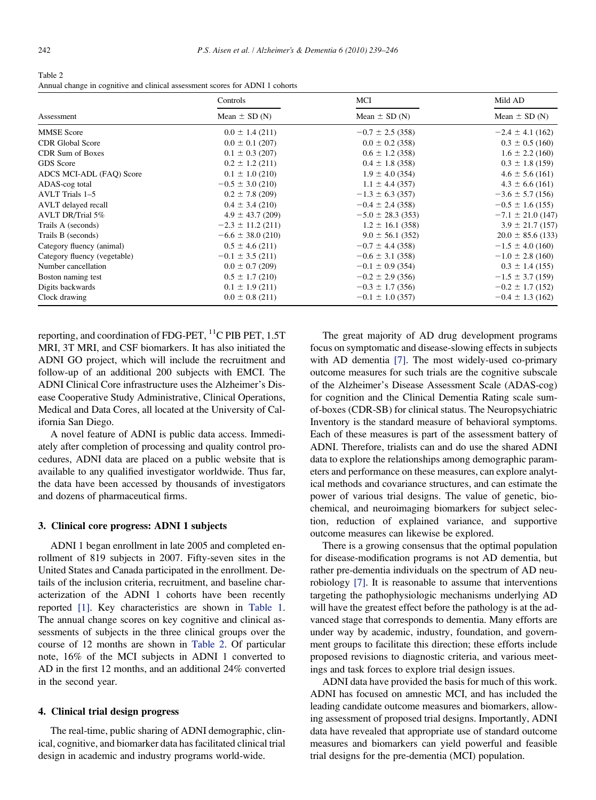Table 2 Annual change in cognitive and clinical assessment scores for ADNI 1 cohorts

|                              | Controls              | MCI                   | Mild AD               |  |
|------------------------------|-----------------------|-----------------------|-----------------------|--|
| Assessment                   | Mean $\pm$ SD (N)     | Mean $\pm$ SD (N)     | Mean $\pm$ SD (N)     |  |
| <b>MMSE</b> Score            | $0.0 \pm 1.4$ (211)   | $-0.7 \pm 2.5$ (358)  | $-2.4 \pm 4.1$ (162)  |  |
| <b>CDR</b> Global Score      | $0.0 \pm 0.1$ (207)   | $0.0 \pm 0.2$ (358)   | $0.3 \pm 0.5$ (160)   |  |
| <b>CDR</b> Sum of Boxes      | $0.1 \pm 0.3$ (207)   | $0.6 \pm 1.2$ (358)   | $1.6 \pm 2.2$ (160)   |  |
| <b>GDS</b> Score             | $0.2 \pm 1.2$ (211)   | $0.4 \pm 1.8$ (358)   | $0.3 \pm 1.8$ (159)   |  |
| ADCS MCI-ADL (FAQ) Score     | $0.1 \pm 1.0$ (210)   | $1.9 \pm 4.0$ (354)   | $4.6 \pm 5.6$ (161)   |  |
| ADAS-cog total               | $-0.5 \pm 3.0$ (210)  | $1.1 \pm 4.4$ (357)   | $4.3 \pm 6.6$ (161)   |  |
| <b>AVLT</b> Trials 1-5       | $0.2 \pm 7.8$ (209)   | $-1.3 \pm 6.3$ (357)  | $-3.6 \pm 5.7$ (156)  |  |
| AVLT delayed recall          | $0.4 \pm 3.4$ (210)   | $-0.4 \pm 2.4$ (358)  | $-0.5 \pm 1.6$ (155)  |  |
| AVLT DR/Trial 5%             | $4.9 \pm 43.7$ (209)  | $-5.0 \pm 28.3$ (353) | $-7.1 \pm 21.0$ (147) |  |
| Trails A (seconds)           | $-2.3 \pm 11.2$ (211) | $1.2 \pm 16.1$ (358)  | $3.9 \pm 21.7$ (157)  |  |
| Trails B (seconds)           | $-6.6 \pm 38.0$ (210) | $9.0 \pm 56.1$ (352)  | $20.0 \pm 85.6$ (133) |  |
| Category fluency (animal)    | $0.5 \pm 4.6$ (211)   | $-0.7 \pm 4.4$ (358)  | $-1.5 \pm 4.0$ (160)  |  |
| Category fluency (vegetable) | $-0.1 \pm 3.5$ (211)  | $-0.6 \pm 3.1$ (358)  | $-1.0 \pm 2.8$ (160)  |  |
| Number cancellation          | $0.0 \pm 0.7$ (209)   | $-0.1 \pm 0.9$ (354)  | $0.3 \pm 1.4$ (155)   |  |
| Boston naming test           | $0.5 \pm 1.7$ (210)   | $-0.2 \pm 2.9$ (356)  | $-1.5 \pm 3.7$ (159)  |  |
| Digits backwards             | $0.1 \pm 1.9$ (211)   | $-0.3 \pm 1.7$ (356)  | $-0.2 \pm 1.7$ (152)  |  |
| Clock drawing                | $0.0 \pm 0.8$ (211)   | $-0.1 \pm 1.0$ (357)  | $-0.4 \pm 1.3$ (162)  |  |

reporting, and coordination of FDG-PET,  $^{11}$ C PIB PET, 1.5T MRI, 3T MRI, and CSF biomarkers. It has also initiated the ADNI GO project, which will include the recruitment and follow-up of an additional 200 subjects with EMCI. The ADNI Clinical Core infrastructure uses the Alzheimer's Disease Cooperative Study Administrative, Clinical Operations, Medical and Data Cores, all located at the University of California San Diego.

A novel feature of ADNI is public data access. Immediately after completion of processing and quality control procedures, ADNI data are placed on a public website that is available to any qualified investigator worldwide. Thus far, the data have been accessed by thousands of investigators and dozens of pharmaceutical firms.

#### 3. Clinical core progress: ADNI 1 subjects

ADNI 1 began enrollment in late 2005 and completed enrollment of 819 subjects in 2007. Fifty-seven sites in the United States and Canada participated in the enrollment. Details of the inclusion criteria, recruitment, and baseline characterization of the ADNI 1 cohorts have been recently reported [\[1\].](#page-7-0) Key characteristics are shown in [Table 1.](#page-2-0) The annual change scores on key cognitive and clinical assessments of subjects in the three clinical groups over the course of 12 months are shown in [Table 2](#page-3-0). Of particular note, 16% of the MCI subjects in ADNI 1 converted to AD in the first 12 months, and an additional 24% converted in the second year.

#### 4. Clinical trial design progress

<span id="page-3-0"></span>The real-time, public sharing of ADNI demographic, clinical, cognitive, and biomarker data has facilitated clinical trial design in academic and industry programs world-wide.

The great majority of AD drug development programs focus on symptomatic and disease-slowing effects in subjects with AD dementia [\[7\]](#page-7-0). The most widely-used co-primary outcome measures for such trials are the cognitive subscale of the Alzheimer's Disease Assessment Scale (ADAS-cog) for cognition and the Clinical Dementia Rating scale sumof-boxes (CDR-SB) for clinical status. The Neuropsychiatric Inventory is the standard measure of behavioral symptoms. Each of these measures is part of the assessment battery of ADNI. Therefore, trialists can and do use the shared ADNI data to explore the relationships among demographic parameters and performance on these measures, can explore analytical methods and covariance structures, and can estimate the power of various trial designs. The value of genetic, biochemical, and neuroimaging biomarkers for subject selection, reduction of explained variance, and supportive outcome measures can likewise be explored.

There is a growing consensus that the optimal population for disease-modification programs is not AD dementia, but rather pre-dementia individuals on the spectrum of AD neurobiology [\[7\].](#page-7-0) It is reasonable to assume that interventions targeting the pathophysiologic mechanisms underlying AD will have the greatest effect before the pathology is at the advanced stage that corresponds to dementia. Many efforts are under way by academic, industry, foundation, and government groups to facilitate this direction; these efforts include proposed revisions to diagnostic criteria, and various meetings and task forces to explore trial design issues.

ADNI data have provided the basis for much of this work. ADNI has focused on amnestic MCI, and has included the leading candidate outcome measures and biomarkers, allowing assessment of proposed trial designs. Importantly, ADNI data have revealed that appropriate use of standard outcome measures and biomarkers can yield powerful and feasible trial designs for the pre-dementia (MCI) population.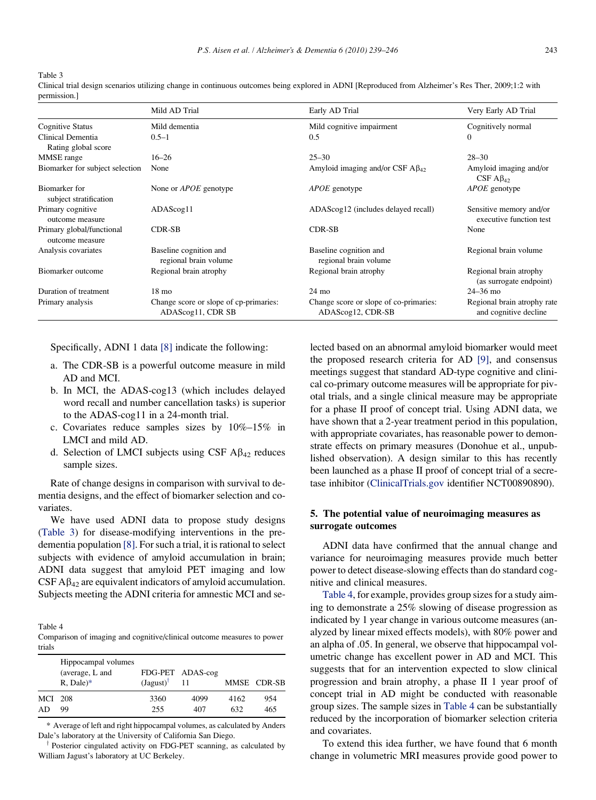Table 3

Clinical trial design scenarios utilizing change in continuous outcomes being explored in ADNI [Reproduced from Alzheimer's Res Ther, 2009;1:2 with permission.]

|                                              | Mild AD Trial                                               | Early AD Trial                                              | Very Early AD Trial                                  |
|----------------------------------------------|-------------------------------------------------------------|-------------------------------------------------------------|------------------------------------------------------|
| <b>Cognitive Status</b>                      | Mild dementia                                               | Mild cognitive impairment                                   | Cognitively normal                                   |
| Clinical Dementia<br>Rating global score     | $0.5 - 1$                                                   | 0.5                                                         | $\mathbf{0}$                                         |
| MMSE range                                   | $16 - 26$                                                   | $25 - 30$                                                   | $28 - 30$                                            |
| Biomarker for subject selection              | None                                                        | Amyloid imaging and/or CSF $\rm{A}\beta_{42}$               | Amyloid imaging and/or<br>CSF $A\beta_{42}$          |
| Biomarker for<br>subject stratification      | None or <i>APOE</i> genotype                                | <i>APOE</i> genotype                                        | <i>APOE</i> genotype                                 |
| Primary cognitive<br>outcome measure         | ADAScog11                                                   | ADAScog12 (includes delayed recall)                         | Sensitive memory and/or<br>executive function test   |
| Primary global/functional<br>outcome measure | CDR-SB                                                      | <b>CDR-SB</b>                                               | None                                                 |
| Analysis covariates                          | Baseline cognition and<br>regional brain volume             | Baseline cognition and<br>regional brain volume             | Regional brain volume                                |
| Biomarker outcome                            | Regional brain atrophy                                      | Regional brain atrophy                                      | Regional brain atrophy<br>(as surrogate endpoint)    |
| Duration of treatment                        | $18 \text{ mo}$                                             | $24 \text{ mo}$                                             | $24 - 36$ mo                                         |
| Primary analysis                             | Change score or slope of cp-primaries:<br>ADAScog11, CDR SB | Change score or slope of co-primaries:<br>ADAScog12, CDR-SB | Regional brain atrophy rate<br>and cognitive decline |

Specifically, ADNI 1 data [\[8\]](#page-7-0) indicate the following:

- a. The CDR-SB is a powerful outcome measure in mild AD and MCI.
- b. In MCI, the ADAS-cog13 (which includes delayed word recall and number cancellation tasks) is superior to the ADAS-cog11 in a 24-month trial.
- c. Covariates reduce samples sizes by 10%–15% in LMCI and mild AD.
- d. Selection of LMCI subjects using CSF  $\text{A}\beta_{42}$  reduces sample sizes.

Rate of change designs in comparison with survival to dementia designs, and the effect of biomarker selection and covariates.

We have used ADNI data to propose study designs [\(Table 3](#page-4-0)) for disease-modifying interventions in the predementia population [\[8\].](#page-7-0) For such a trial, it is rational to select subjects with evidence of amyloid accumulation in brain; ADNI data suggest that amyloid PET imaging and low CSF  $\mathbf{A}\beta_{42}$  are equivalent indicators of amyloid accumulation. Subjects meeting the ADNI criteria for amnestic MCI and se-

Table 4

Comparison of imaging and cognitive/clinical outcome measures to power trials

|         | Hippocampal volumes<br>(average, L and<br>$R$ , Dale) $*$ | $(Jagust)^{\dagger}$ | FDG-PET ADAS-cog<br>11 |      | MMSE CDR-SB |
|---------|-----------------------------------------------------------|----------------------|------------------------|------|-------------|
| MCI 208 |                                                           | 3360                 | 4099                   | 4162 | 954         |
| AD      | 99                                                        | 255                  | 407                    | 632  | 465         |

\* Average of left and right hippocampal volumes, as calculated by Anders Dale's laboratory at the University of California San Diego.

<span id="page-4-0"></span> $\dagger$  Posterior cingulated activity on FDG-PET scanning, as calculated by William Jagust's laboratory at UC Berkeley.

lected based on an abnormal amyloid biomarker would meet the proposed research criteria for AD [\[9\],](#page-7-0) and consensus meetings suggest that standard AD-type cognitive and clinical co-primary outcome measures will be appropriate for pivotal trials, and a single clinical measure may be appropriate for a phase II proof of concept trial. Using ADNI data, we have shown that a 2-year treatment period in this population, with appropriate covariates, has reasonable power to demonstrate effects on primary measures (Donohue et al., unpublished observation). A design similar to this has recently been launched as a phase II proof of concept trial of a secretase inhibitor [\(ClinicalTrials.gov](http://ClinicalTrials.gov) identifier NCT00890890).

# 5. The potential value of neuroimaging measures as surrogate outcomes

ADNI data have confirmed that the annual change and variance for neuroimaging measures provide much better power to detect disease-slowing effects than do standard cognitive and clinical measures.

[Table 4](#page-4-0), for example, provides group sizes for a study aiming to demonstrate a 25% slowing of disease progression as indicated by 1 year change in various outcome measures (analyzed by linear mixed effects models), with 80% power and an alpha of .05. In general, we observe that hippocampal volumetric change has excellent power in AD and MCI. This suggests that for an intervention expected to slow clinical progression and brain atrophy, a phase II 1 year proof of concept trial in AD might be conducted with reasonable group sizes. The sample sizes in [Table 4](#page-4-0) can be substantially reduced by the incorporation of biomarker selection criteria and covariates.

To extend this idea further, we have found that 6 month change in volumetric MRI measures provide good power to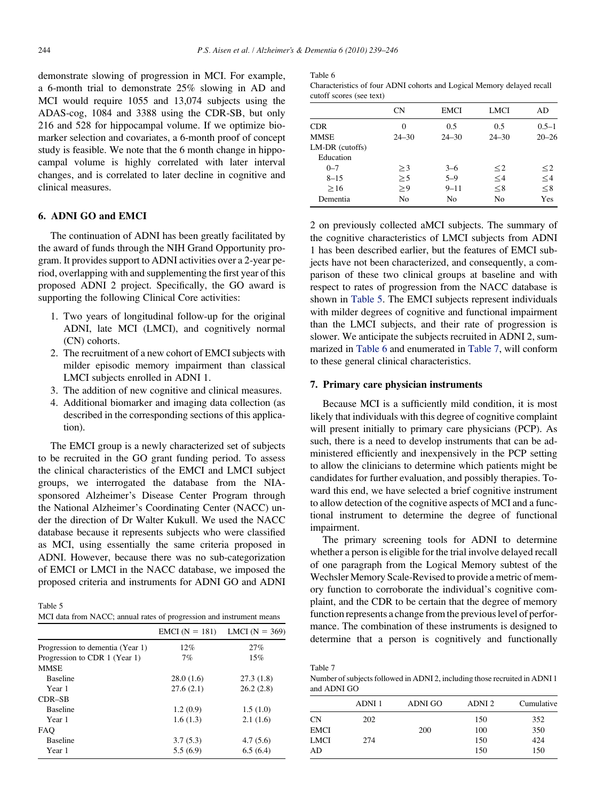demonstrate slowing of progression in MCI. For example, a 6-month trial to demonstrate 25% slowing in AD and MCI would require 1055 and 13,074 subjects using the ADAS-cog, 1084 and 3388 using the CDR-SB, but only 216 and 528 for hippocampal volume. If we optimize biomarker selection and covariates, a 6-month proof of concept study is feasible. We note that the 6 month change in hippocampal volume is highly correlated with later interval changes, and is correlated to later decline in cognitive and clinical measures.

# 6. ADNI GO and EMCI

The continuation of ADNI has been greatly facilitated by the award of funds through the NIH Grand Opportunity program. It provides support to ADNI activities over a 2-year period, overlapping with and supplementing the first year of this proposed ADNI 2 project. Specifically, the GO award is supporting the following Clinical Core activities:

- 1. Two years of longitudinal follow-up for the original ADNI, late MCI (LMCI), and cognitively normal (CN) cohorts.
- 2. The recruitment of a new cohort of EMCI subjects with milder episodic memory impairment than classical LMCI subjects enrolled in ADNI 1.
- 3. The addition of new cognitive and clinical measures.
- 4. Additional biomarker and imaging data collection (as described in the corresponding sections of this application).

The EMCI group is a newly characterized set of subjects to be recruited in the GO grant funding period. To assess the clinical characteristics of the EMCI and LMCI subject groups, we interrogated the database from the NIAsponsored Alzheimer's Disease Center Program through the National Alzheimer's Coordinating Center (NACC) under the direction of Dr Walter Kukull. We used the NACC database because it represents subjects who were classified as MCI, using essentially the same criteria proposed in ADNI. However, because there was no sub-categorization of EMCI or LMCI in the NACC database, we imposed the proposed criteria and instruments for ADNI GO and ADNI

Table 5 MCI data from NACC; annual rates of progression and instrument means

<span id="page-5-0"></span>

|                                  | $EMCI (N = 181)$ | $LMCI (N = 369)$ |
|----------------------------------|------------------|------------------|
| Progression to dementia (Year 1) | 12%              | 27%              |
| Progression to CDR 1 (Year 1)    | 7%               | 15%              |
| <b>MMSE</b>                      |                  |                  |
| <b>Baseline</b>                  | 28.0(1.6)        | 27.3(1.8)        |
| Year 1                           | 27.6(2.1)        | 26.2(2.8)        |
| CDR-SB                           |                  |                  |
| <b>Baseline</b>                  | 1.2(0.9)         | 1.5(1.0)         |
| Year 1                           | 1.6(1.3)         | 2.1(1.6)         |
| <b>FAO</b>                       |                  |                  |
| <b>Baseline</b>                  | 3.7(5.3)         | 4.7(5.6)         |
| Year 1                           | 5.5(6.9)         | 6.5(6.4)         |

Table 6

| Characteristics of four ADNI cohorts and Logical Memory delayed recall |  |  |
|------------------------------------------------------------------------|--|--|
| cutoff scores (see text)                                               |  |  |

|                 | CN        | EMCI      | LMCI      | AD        |
|-----------------|-----------|-----------|-----------|-----------|
| <b>CDR</b>      | 0         | 0.5       | 0.5       | $0.5 - 1$ |
| <b>MMSE</b>     | $24 - 30$ | $24 - 30$ | $24 - 30$ | $20 - 26$ |
| LM-DR (cutoffs) |           |           |           |           |
| Education       |           |           |           |           |
| $0 - 7$         | >3        | $3 - 6$   | $\leq$ 2  | $\leq$ 2  |
| $8 - 15$        | >5        | $5 - 9$   | $\leq$ 4  | ${\leq}4$ |
| >16             | > 9       | $9 - 11$  | $\leq 8$  | $\leq 8$  |
| Dementia        | No        | No        | No        | Yes       |

2 on previously collected aMCI subjects. The summary of the cognitive characteristics of LMCI subjects from ADNI 1 has been described earlier, but the features of EMCI subjects have not been characterized, and consequently, a comparison of these two clinical groups at baseline and with respect to rates of progression from the NACC database is shown in [Table 5.](#page-5-0) The EMCI subjects represent individuals with milder degrees of cognitive and functional impairment than the LMCI subjects, and their rate of progression is slower. We anticipate the subjects recruited in ADNI 2, summarized in [Table 6](#page-5-0) and enumerated in [Table 7,](#page-5-0) will conform to these general clinical characteristics.

# 7. Primary care physician instruments

Because MCI is a sufficiently mild condition, it is most likely that individuals with this degree of cognitive complaint will present initially to primary care physicians (PCP). As such, there is a need to develop instruments that can be administered efficiently and inexpensively in the PCP setting to allow the clinicians to determine which patients might be candidates for further evaluation, and possibly therapies. Toward this end, we have selected a brief cognitive instrument to allow detection of the cognitive aspects of MCI and a functional instrument to determine the degree of functional impairment.

The primary screening tools for ADNI to determine whether a person is eligible for the trial involve delayed recall of one paragraph from the Logical Memory subtest of the Wechsler Memory Scale-Revised to provide a metric of memory function to corroborate the individual's cognitive complaint, and the CDR to be certain that the degree of memory function represents a change from the previous level of performance. The combination of these instruments is designed to determine that a person is cognitively and functionally

| Table 7                                                                    |
|----------------------------------------------------------------------------|
| Number of subjects followed in ADNI 2, including those recruited in ADNI 1 |
| and ADNI GO                                                                |

|      | ADNI 1 | ADNI GO | ADNI <sub>2</sub> | Cumulative |
|------|--------|---------|-------------------|------------|
| CN   | 202    |         | 150               | 352        |
| EMCI |        | 200     | 100               | 350        |
| LMCI | 274    |         | 150               | 424        |
| AD   |        |         | 150               | 150        |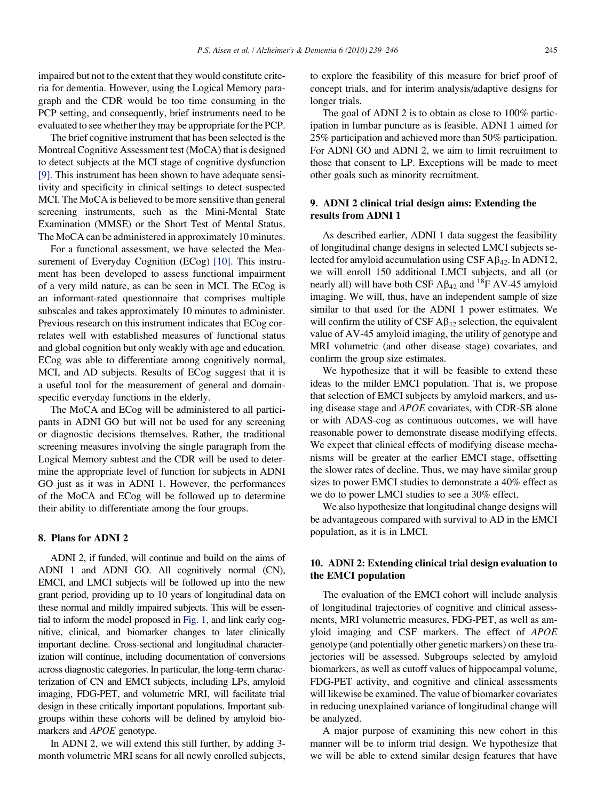impaired but not to the extent that they would constitute criteria for dementia. However, using the Logical Memory paragraph and the CDR would be too time consuming in the PCP setting, and consequently, brief instruments need to be evaluated to see whether they may be appropriate for the PCP.

The brief cognitive instrument that has been selected is the Montreal Cognitive Assessment test (MoCA) that is designed to detect subjects at the MCI stage of cognitive dysfunction [\[9\]](#page-7-0). This instrument has been shown to have adequate sensitivity and specificity in clinical settings to detect suspected MCI. The MoCA is believed to be more sensitive than general screening instruments, such as the Mini-Mental State Examination (MMSE) or the Short Test of Mental Status. The MoCA can be administered in approximately 10 minutes.

For a functional assessment, we have selected the Mea-surement of Everyday Cognition (ECog) [\[10\].](#page-7-0) This instrument has been developed to assess functional impairment of a very mild nature, as can be seen in MCI. The ECog is an informant-rated questionnaire that comprises multiple subscales and takes approximately 10 minutes to administer. Previous research on this instrument indicates that ECog correlates well with established measures of functional status and global cognition but only weakly with age and education. ECog was able to differentiate among cognitively normal, MCI, and AD subjects. Results of ECog suggest that it is a useful tool for the measurement of general and domainspecific everyday functions in the elderly.

The MoCA and ECog will be administered to all participants in ADNI GO but will not be used for any screening or diagnostic decisions themselves. Rather, the traditional screening measures involving the single paragraph from the Logical Memory subtest and the CDR will be used to determine the appropriate level of function for subjects in ADNI GO just as it was in ADNI 1. However, the performances of the MoCA and ECog will be followed up to determine their ability to differentiate among the four groups.

# 8. Plans for ADNI 2

ADNI 2, if funded, will continue and build on the aims of ADNI 1 and ADNI GO. All cognitively normal (CN), EMCI, and LMCI subjects will be followed up into the new grant period, providing up to 10 years of longitudinal data on these normal and mildly impaired subjects. This will be essential to inform the model proposed in [Fig. 1](#page-1-0), and link early cognitive, clinical, and biomarker changes to later clinically important decline. Cross-sectional and longitudinal characterization will continue, including documentation of conversions across diagnostic categories. In particular, the long-term characterization of CN and EMCI subjects, including LPs, amyloid imaging, FDG-PET, and volumetric MRI, will facilitate trial design in these critically important populations. Important subgroups within these cohorts will be defined by amyloid biomarkers and APOE genotype.

In ADNI 2, we will extend this still further, by adding 3 month volumetric MRI scans for all newly enrolled subjects, to explore the feasibility of this measure for brief proof of concept trials, and for interim analysis/adaptive designs for longer trials.

The goal of ADNI 2 is to obtain as close to 100% participation in lumbar puncture as is feasible. ADNI 1 aimed for 25% participation and achieved more than 50% participation. For ADNI GO and ADNI 2, we aim to limit recruitment to those that consent to LP. Exceptions will be made to meet other goals such as minority recruitment.

# 9. ADNI 2 clinical trial design aims: Extending the results from ADNI 1

As described earlier, ADNI 1 data suggest the feasibility of longitudinal change designs in selected LMCI subjects selected for amyloid accumulation using CSF  $\text{A}\beta_{42}$ . In ADNI 2, we will enroll 150 additional LMCI subjects, and all (or nearly all) will have both CSF  $A\beta_{42}$  and <sup>18</sup>F AV-45 amyloid imaging. We will, thus, have an independent sample of size similar to that used for the ADNI 1 power estimates. We will confirm the utility of CSF  $\mathbf{A}\beta_{42}$  selection, the equivalent value of AV-45 amyloid imaging, the utility of genotype and MRI volumetric (and other disease stage) covariates, and confirm the group size estimates.

We hypothesize that it will be feasible to extend these ideas to the milder EMCI population. That is, we propose that selection of EMCI subjects by amyloid markers, and using disease stage and APOE covariates, with CDR-SB alone or with ADAS-cog as continuous outcomes, we will have reasonable power to demonstrate disease modifying effects. We expect that clinical effects of modifying disease mechanisms will be greater at the earlier EMCI stage, offsetting the slower rates of decline. Thus, we may have similar group sizes to power EMCI studies to demonstrate a 40% effect as we do to power LMCI studies to see a 30% effect.

We also hypothesize that longitudinal change designs will be advantageous compared with survival to AD in the EMCI population, as it is in LMCI.

# 10. ADNI 2: Extending clinical trial design evaluation to the EMCI population

The evaluation of the EMCI cohort will include analysis of longitudinal trajectories of cognitive and clinical assessments, MRI volumetric measures, FDG-PET, as well as amyloid imaging and CSF markers. The effect of APOE genotype (and potentially other genetic markers) on these trajectories will be assessed. Subgroups selected by amyloid biomarkers, as well as cutoff values of hippocampal volume, FDG-PET activity, and cognitive and clinical assessments will likewise be examined. The value of biomarker covariates in reducing unexplained variance of longitudinal change will be analyzed.

A major purpose of examining this new cohort in this manner will be to inform trial design. We hypothesize that we will be able to extend similar design features that have